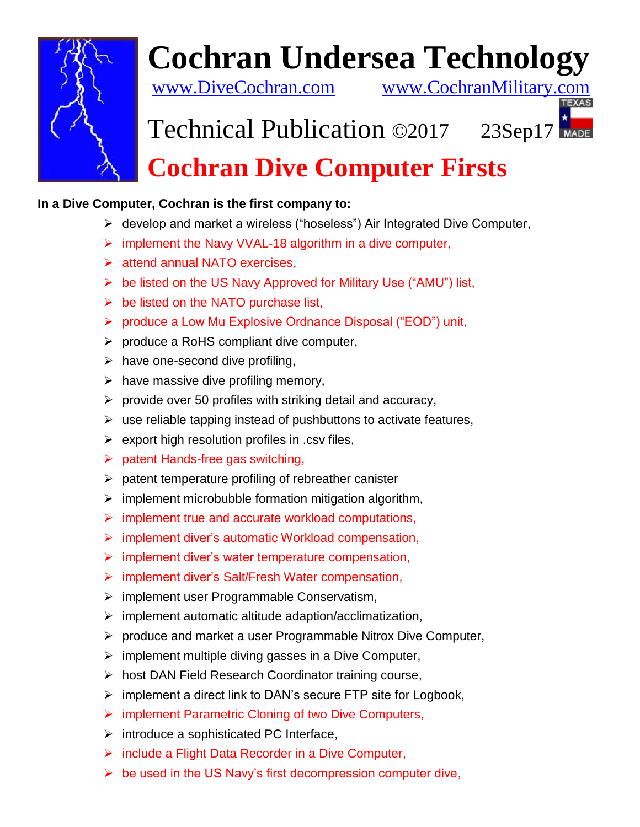

## **Cochran Undersea Technology**

[www.DiveCochran.com](http://www.divecochran.com/) [www.CochranMilitary.com](http://www.cochranmilitary.com/)

## Technical Publication ©2017 23Sep17 **Cochran Dive Computer Firsts**

## **In a Dive Computer, Cochran is the first company to:**

- ➢ develop and market a wireless ("hoseless") Air Integrated Dive Computer,
- ➢ implement the Navy VVAL-18 algorithm in a dive computer,
- ➢ attend annual NATO exercises,
- ➢ be listed on the US Navy Approved for Military Use ("AMU") list,
- $\triangleright$  be listed on the NATO purchase list,
- ➢ produce a Low Mu Explosive Ordnance Disposal ("EOD") unit,
- ➢ produce a RoHS compliant dive computer,
- $\triangleright$  have one-second dive profiling,
- $\triangleright$  have massive dive profiling memory,
- $\triangleright$  provide over 50 profiles with striking detail and accuracy,
- $\triangleright$  use reliable tapping instead of pushbuttons to activate features,
- $\triangleright$  export high resolution profiles in .csv files,
- ➢ patent Hands-free gas switching,
- $\triangleright$  patent temperature profiling of rebreather canister
- $\triangleright$  implement microbubble formation mitigation algorithm,
- ➢ implement true and accurate workload computations,
- ➢ implement diver's automatic Workload compensation,
- $\triangleright$  implement diver's water temperature compensation,
- ➢ implement diver's Salt/Fresh Water compensation,
- ➢ implement user Programmable Conservatism,
- ➢ implement automatic altitude adaption/acclimatization,
- ➢ produce and market a user Programmable Nitrox Dive Computer,
- ➢ implement multiple diving gasses in a Dive Computer,
- ➢ host DAN Field Research Coordinator training course,
- $\triangleright$  implement a direct link to DAN's secure FTP site for Logbook,
- ➢ implement Parametric Cloning of two Dive Computers,
- $\triangleright$  introduce a sophisticated PC Interface,
- ➢ include a Flight Data Recorder in a Dive Computer,
- $\triangleright$  be used in the US Navy's first decompression computer dive,